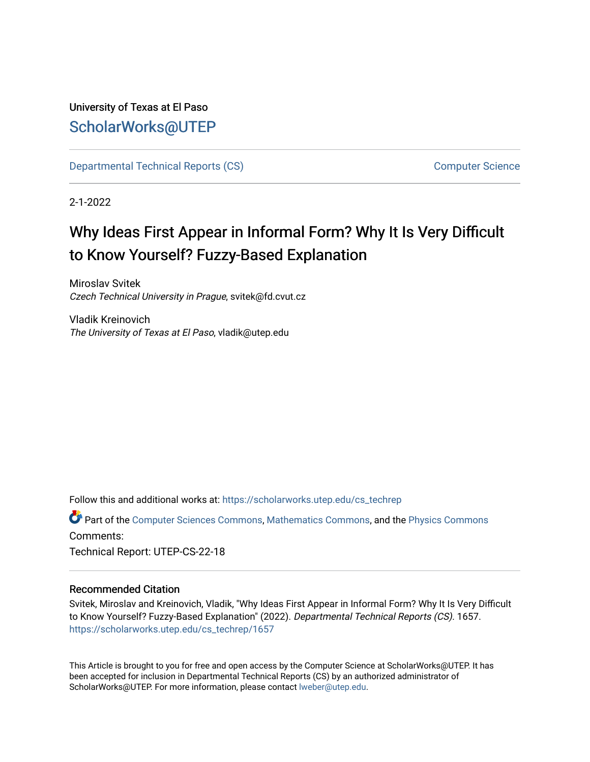# University of Texas at El Paso [ScholarWorks@UTEP](https://scholarworks.utep.edu/)

[Departmental Technical Reports \(CS\)](https://scholarworks.utep.edu/cs_techrep) [Computer Science](https://scholarworks.utep.edu/computer) 

2-1-2022

# Why Ideas First Appear in Informal Form? Why It Is Very Difficult to Know Yourself? Fuzzy-Based Explanation

Miroslav Svitek Czech Technical University in Prague, svitek@fd.cvut.cz

Vladik Kreinovich The University of Texas at El Paso, vladik@utep.edu

Follow this and additional works at: [https://scholarworks.utep.edu/cs\\_techrep](https://scholarworks.utep.edu/cs_techrep?utm_source=scholarworks.utep.edu%2Fcs_techrep%2F1657&utm_medium=PDF&utm_campaign=PDFCoverPages) 

Part of the [Computer Sciences Commons](http://network.bepress.com/hgg/discipline/142?utm_source=scholarworks.utep.edu%2Fcs_techrep%2F1657&utm_medium=PDF&utm_campaign=PDFCoverPages), [Mathematics Commons](http://network.bepress.com/hgg/discipline/174?utm_source=scholarworks.utep.edu%2Fcs_techrep%2F1657&utm_medium=PDF&utm_campaign=PDFCoverPages), and the [Physics Commons](http://network.bepress.com/hgg/discipline/193?utm_source=scholarworks.utep.edu%2Fcs_techrep%2F1657&utm_medium=PDF&utm_campaign=PDFCoverPages) Comments:

Technical Report: UTEP-CS-22-18

## Recommended Citation

Svitek, Miroslav and Kreinovich, Vladik, "Why Ideas First Appear in Informal Form? Why It Is Very Difficult to Know Yourself? Fuzzy-Based Explanation" (2022). Departmental Technical Reports (CS). 1657. [https://scholarworks.utep.edu/cs\\_techrep/1657](https://scholarworks.utep.edu/cs_techrep/1657?utm_source=scholarworks.utep.edu%2Fcs_techrep%2F1657&utm_medium=PDF&utm_campaign=PDFCoverPages) 

This Article is brought to you for free and open access by the Computer Science at ScholarWorks@UTEP. It has been accepted for inclusion in Departmental Technical Reports (CS) by an authorized administrator of ScholarWorks@UTEP. For more information, please contact [lweber@utep.edu](mailto:lweber@utep.edu).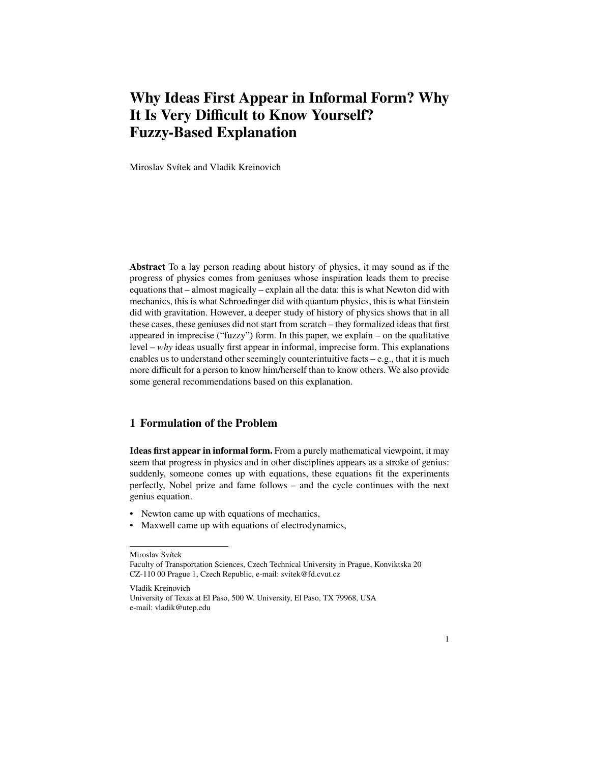# **Why Ideas First Appear in Informal Form? Why It Is Very Difficult to Know Yourself? Fuzzy-Based Explanation**

Miroslav Svítek and Vladik Kreinovich

**Abstract** To a lay person reading about history of physics, it may sound as if the progress of physics comes from geniuses whose inspiration leads them to precise equations that – almost magically – explain all the data: this is what Newton did with mechanics, this is what Schroedinger did with quantum physics, this is what Einstein did with gravitation. However, a deeper study of history of physics shows that in all these cases, these geniuses did not start from scratch – they formalized ideas that first appeared in imprecise ("fuzzy") form. In this paper, we explain – on the qualitative level – *why* ideas usually first appear in informal, imprecise form. This explanations enables us to understand other seemingly counterintuitive facts – e.g., that it is much more difficult for a person to know him/herself than to know others. We also provide some general recommendations based on this explanation.

## **1 Formulation of the Problem**

**Ideas first appear in informal form.** From a purely mathematical viewpoint, it may seem that progress in physics and in other disciplines appears as a stroke of genius: suddenly, someone comes up with equations, these equations fit the experiments perfectly, Nobel prize and fame follows – and the cycle continues with the next genius equation.

- Newton came up with equations of mechanics,
- Maxwell came up with equations of electrodynamics,

Miroslav Svítek

Vladik Kreinovich University of Texas at El Paso, 500 W. University, El Paso, TX 79968, USA e-mail: vladik@utep.edu

Faculty of Transportation Sciences, Czech Technical University in Prague, Konviktska 20 CZ-110 00 Prague 1, Czech Republic, e-mail: svitek@fd.cvut.cz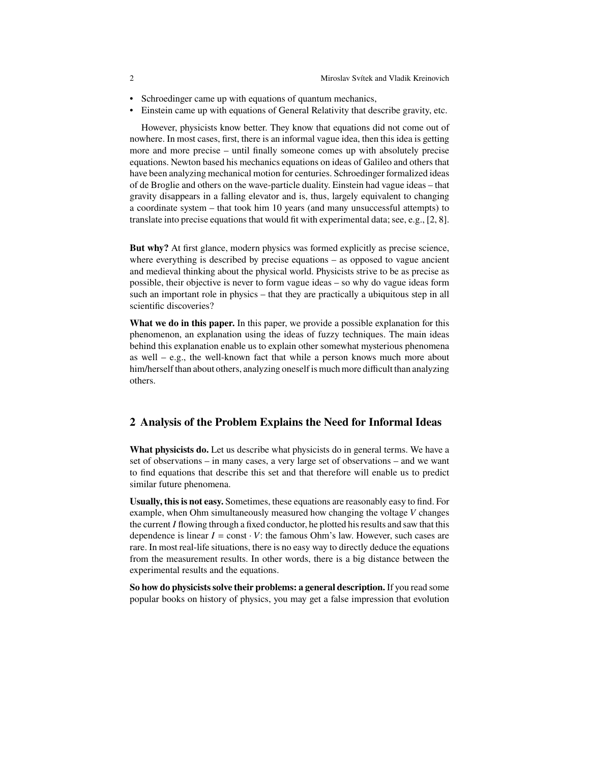- Schroedinger came up with equations of quantum mechanics,
- Einstein came up with equations of General Relativity that describe gravity, etc.

However, physicists know better. They know that equations did not come out of nowhere. In most cases, first, there is an informal vague idea, then this idea is getting more and more precise – until finally someone comes up with absolutely precise equations. Newton based his mechanics equations on ideas of Galileo and others that have been analyzing mechanical motion for centuries. Schroedinger formalized ideas of de Broglie and others on the wave-particle duality. Einstein had vague ideas – that gravity disappears in a falling elevator and is, thus, largely equivalent to changing a coordinate system – that took him 10 years (and many unsuccessful attempts) to translate into precise equations that would fit with experimental data; see, e.g., [2, 8].

**But why?** At first glance, modern physics was formed explicitly as precise science, where everything is described by precise equations – as opposed to vague ancient and medieval thinking about the physical world. Physicists strive to be as precise as possible, their objective is never to form vague ideas – so why do vague ideas form such an important role in physics – that they are practically a ubiquitous step in all scientific discoveries?

**What we do in this paper.** In this paper, we provide a possible explanation for this phenomenon, an explanation using the ideas of fuzzy techniques. The main ideas behind this explanation enable us to explain other somewhat mysterious phenomena as well – e.g., the well-known fact that while a person knows much more about him/herself than about others, analyzing oneself is much more difficult than analyzing others.

#### **2 Analysis of the Problem Explains the Need for Informal Ideas**

**What physicists do.** Let us describe what physicists do in general terms. We have a set of observations – in many cases, a very large set of observations – and we want to find equations that describe this set and that therefore will enable us to predict similar future phenomena.

**Usually, this is not easy.** Sometimes, these equations are reasonably easy to find. For example, when Ohm simultaneously measured how changing the voltage  $V$  changes the current  $I$  flowing through a fixed conductor, he plotted his results and saw that this dependence is linear  $I = \text{const} \cdot V$ : the famous Ohm's law. However, such cases are rare. In most real-life situations, there is no easy way to directly deduce the equations from the measurement results. In other words, there is a big distance between the experimental results and the equations.

**So how do physicists solve their problems: a general description.** If you read some popular books on history of physics, you may get a false impression that evolution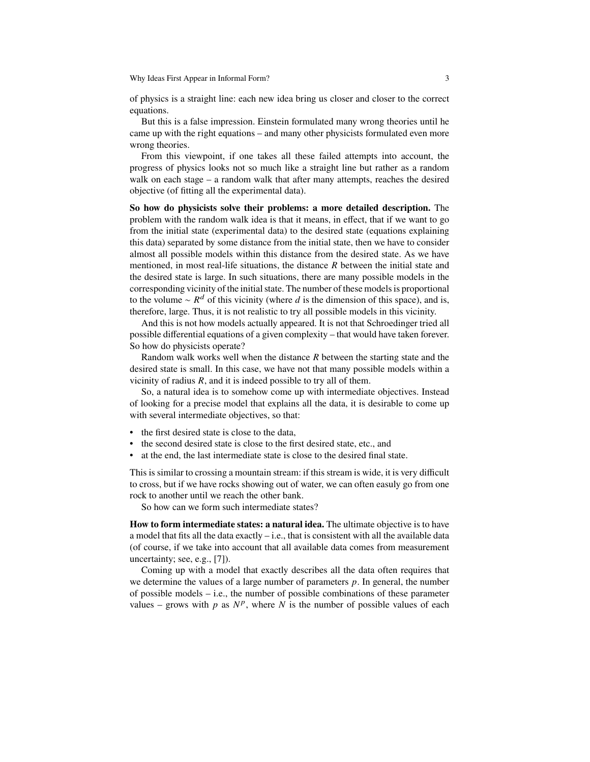Why Ideas First Appear in Informal Form? 3

of physics is a straight line: each new idea bring us closer and closer to the correct equations.

But this is a false impression. Einstein formulated many wrong theories until he came up with the right equations – and many other physicists formulated even more wrong theories.

From this viewpoint, if one takes all these failed attempts into account, the progress of physics looks not so much like a straight line but rather as a random walk on each stage – a random walk that after many attempts, reaches the desired objective (of fitting all the experimental data).

**So how do physicists solve their problems: a more detailed description.** The problem with the random walk idea is that it means, in effect, that if we want to go from the initial state (experimental data) to the desired state (equations explaining this data) separated by some distance from the initial state, then we have to consider almost all possible models within this distance from the desired state. As we have mentioned, in most real-life situations, the distance  $R$  between the initial state and the desired state is large. In such situations, there are many possible models in the corresponding vicinity of the initial state. The number of these models is proportional to the volume  $\sim R^d$  of this vicinity (where d is the dimension of this space), and is, therefore, large. Thus, it is not realistic to try all possible models in this vicinity.

And this is not how models actually appeared. It is not that Schroedinger tried all possible differential equations of a given complexity – that would have taken forever. So how do physicists operate?

Random walk works well when the distance  $R$  between the starting state and the desired state is small. In this case, we have not that many possible models within a vicinity of radius  $R$ , and it is indeed possible to try all of them.

So, a natural idea is to somehow come up with intermediate objectives. Instead of looking for a precise model that explains all the data, it is desirable to come up with several intermediate objectives, so that:

- the first desired state is close to the data,
- the second desired state is close to the first desired state, etc., and
- at the end, the last intermediate state is close to the desired final state.

This is similar to crossing a mountain stream: if this stream is wide, it is very difficult to cross, but if we have rocks showing out of water, we can often easuly go from one rock to another until we reach the other bank.

So how can we form such intermediate states?

**How to form intermediate states: a natural idea.** The ultimate objective is to have a model that fits all the data exactly  $-$  i.e., that is consistent with all the available data (of course, if we take into account that all available data comes from measurement uncertainty; see, e.g., [7]).

Coming up with a model that exactly describes all the data often requires that we determine the values of a large number of parameters  $p$ . In general, the number of possible models  $-$  i.e., the number of possible combinations of these parameter values – grows with p as  $N^p$ , where N is the number of possible values of each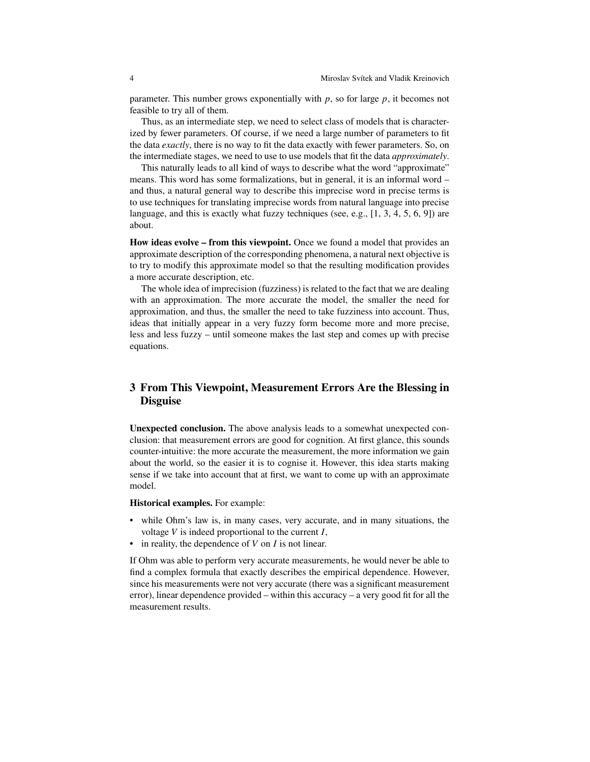parameter. This number grows exponentially with  $p$ , so for large  $p$ , it becomes not feasible to try all of them.

Thus, as an intermediate step, we need to select class of models that is characterized by fewer parameters. Of course, if we need a large number of parameters to fit the data *exactly*, there is no way to fit the data exactly with fewer parameters. So, on the intermediate stages, we need to use to use models that fit the data *approximately*.

This naturally leads to all kind of ways to describe what the word "approximate" means. This word has some formalizations, but in general, it is an informal word – and thus, a natural general way to describe this imprecise word in precise terms is to use techniques for translating imprecise words from natural language into precise language, and this is exactly what fuzzy techniques (see, e.g.,  $[1, 3, 4, 5, 6, 9]$ ) are about.

**How ideas evolve – from this viewpoint.** Once we found a model that provides an approximate description of the corresponding phenomena, a natural next objective is to try to modify this approximate model so that the resulting modification provides a more accurate description, etc.

The whole idea of imprecision (fuzziness) is related to the fact that we are dealing with an approximation. The more accurate the model, the smaller the need for approximation, and thus, the smaller the need to take fuzziness into account. Thus, ideas that initially appear in a very fuzzy form become more and more precise, less and less fuzzy – until someone makes the last step and comes up with precise equations.

# **3 From This Viewpoint, Measurement Errors Are the Blessing in Disguise**

**Unexpected conclusion.** The above analysis leads to a somewhat unexpected conclusion: that measurement errors are good for cognition. At first glance, this sounds counter-intuitive: the more accurate the measurement, the more information we gain about the world, so the easier it is to cognise it. However, this idea starts making sense if we take into account that at first, we want to come up with an approximate model.

**Historical examples.** For example:

- while Ohm's law is, in many cases, very accurate, and in many situations, the voltage  $V$  is indeed proportional to the current  $I$ ,
- in reality, the dependence of  $V$  on  $I$  is not linear.

If Ohm was able to perform very accurate measurements, he would never be able to find a complex formula that exactly describes the empirical dependence. However, since his measurements were not very accurate (there was a significant measurement error), linear dependence provided – within this accuracy – a very good fit for all the measurement results.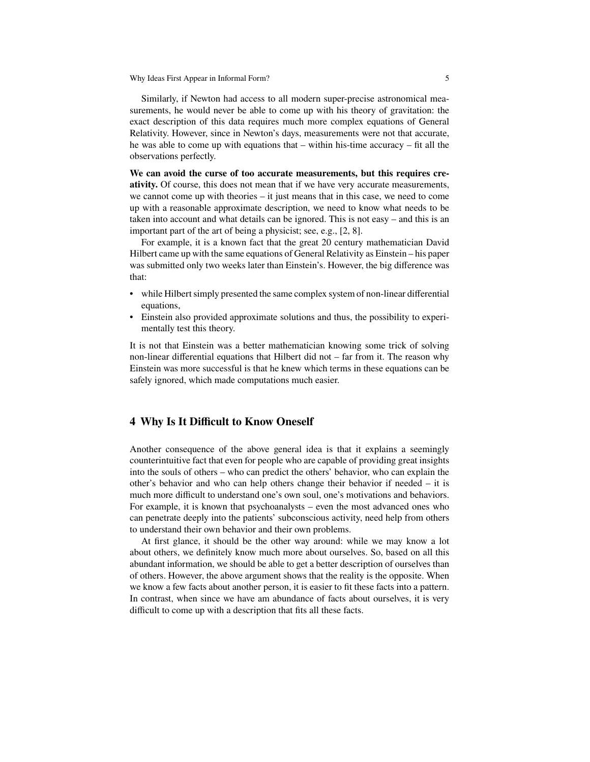Why Ideas First Appear in Informal Form? 5

Similarly, if Newton had access to all modern super-precise astronomical measurements, he would never be able to come up with his theory of gravitation: the exact description of this data requires much more complex equations of General Relativity. However, since in Newton's days, measurements were not that accurate, he was able to come up with equations that  $-$  within his-time accuracy  $-$  fit all the observations perfectly.

**We can avoid the curse of too accurate measurements, but this requires creativity.** Of course, this does not mean that if we have very accurate measurements, we cannot come up with theories – it just means that in this case, we need to come up with a reasonable approximate description, we need to know what needs to be taken into account and what details can be ignored. This is not easy – and this is an important part of the art of being a physicist; see, e.g., [2, 8].

For example, it is a known fact that the great 20 century mathematician David Hilbert came up with the same equations of General Relativity as Einstein – his paper was submitted only two weeks later than Einstein's. However, the big difference was that:

- while Hilbert simply presented the same complex system of non-linear differential equations,
- Einstein also provided approximate solutions and thus, the possibility to experimentally test this theory.

It is not that Einstein was a better mathematician knowing some trick of solving non-linear differential equations that Hilbert did not – far from it. The reason why Einstein was more successful is that he knew which terms in these equations can be safely ignored, which made computations much easier.

#### **4 Why Is It Difficult to Know Oneself**

Another consequence of the above general idea is that it explains a seemingly counterintuitive fact that even for people who are capable of providing great insights into the souls of others – who can predict the others' behavior, who can explain the other's behavior and who can help others change their behavior if needed  $-$  it is much more difficult to understand one's own soul, one's motivations and behaviors. For example, it is known that psychoanalysts – even the most advanced ones who can penetrate deeply into the patients' subconscious activity, need help from others to understand their own behavior and their own problems.

At first glance, it should be the other way around: while we may know a lot about others, we definitely know much more about ourselves. So, based on all this abundant information, we should be able to get a better description of ourselves than of others. However, the above argument shows that the reality is the opposite. When we know a few facts about another person, it is easier to fit these facts into a pattern. In contrast, when since we have am abundance of facts about ourselves, it is very difficult to come up with a description that fits all these facts.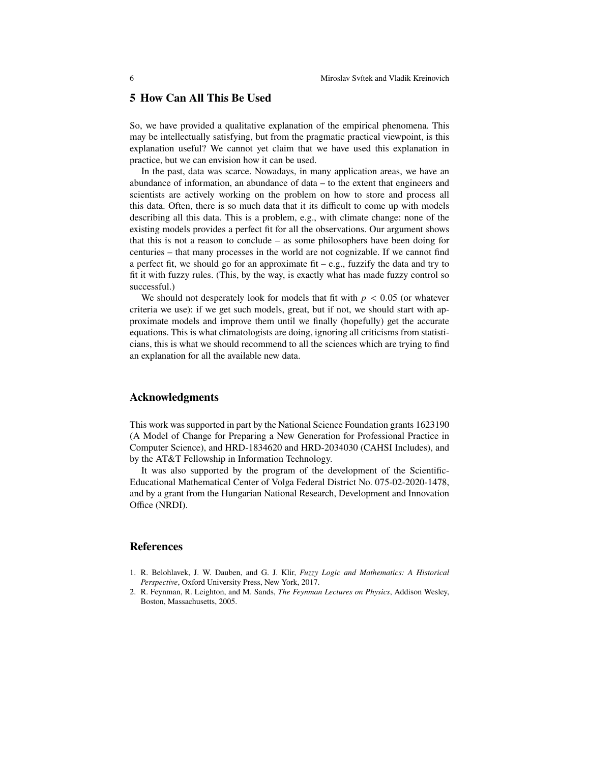### **5 How Can All This Be Used**

So, we have provided a qualitative explanation of the empirical phenomena. This may be intellectually satisfying, but from the pragmatic practical viewpoint, is this explanation useful? We cannot yet claim that we have used this explanation in practice, but we can envision how it can be used.

In the past, data was scarce. Nowadays, in many application areas, we have an abundance of information, an abundance of data – to the extent that engineers and scientists are actively working on the problem on how to store and process all this data. Often, there is so much data that it its difficult to come up with models describing all this data. This is a problem, e.g., with climate change: none of the existing models provides a perfect fit for all the observations. Our argument shows that this is not a reason to conclude – as some philosophers have been doing for centuries – that many processes in the world are not cognizable. If we cannot find a perfect fit, we should go for an approximate fit  $-e.g.,$  fuzzify the data and try to fit it with fuzzy rules. (This, by the way, is exactly what has made fuzzy control so successful.)

We should not desperately look for models that fit with  $p < 0.05$  (or whatever criteria we use): if we get such models, great, but if not, we should start with approximate models and improve them until we finally (hopefully) get the accurate equations. This is what climatologists are doing, ignoring all criticisms from statisticians, this is what we should recommend to all the sciences which are trying to find an explanation for all the available new data.

#### **Acknowledgments**

This work was supported in part by the National Science Foundation grants 1623190 (A Model of Change for Preparing a New Generation for Professional Practice in Computer Science), and HRD-1834620 and HRD-2034030 (CAHSI Includes), and by the AT&T Fellowship in Information Technology.

It was also supported by the program of the development of the Scientific-Educational Mathematical Center of Volga Federal District No. 075-02-2020-1478, and by a grant from the Hungarian National Research, Development and Innovation Office (NRDI).

#### **References**

- 1. R. Belohlavek, J. W. Dauben, and G. J. Klir, *Fuzzy Logic and Mathematics: A Historical Perspective*, Oxford University Press, New York, 2017.
- 2. R. Feynman, R. Leighton, and M. Sands, *The Feynman Lectures on Physics*, Addison Wesley, Boston, Massachusetts, 2005.